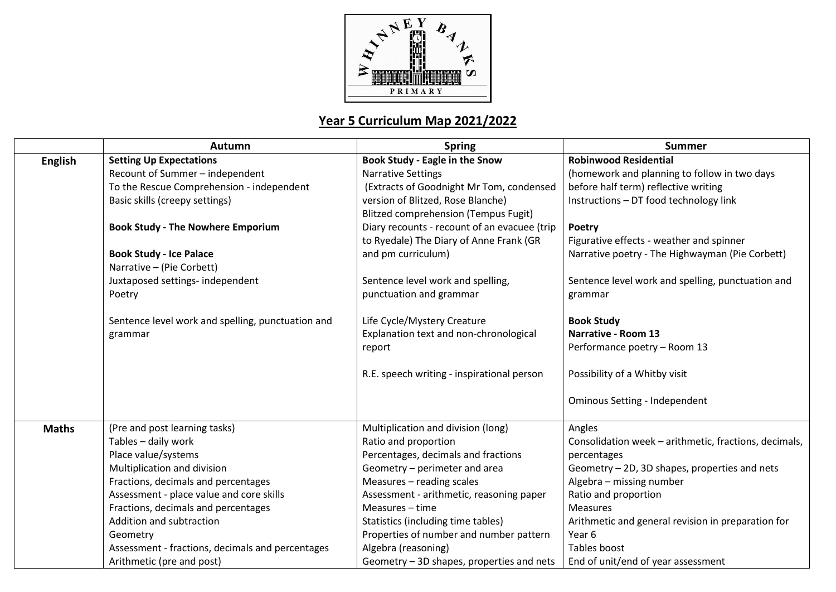

## **Year 5 Curriculum Map 2021/2022**

|                | Autumn                                            | <b>Spring</b>                                | <b>Summer</b>                                         |
|----------------|---------------------------------------------------|----------------------------------------------|-------------------------------------------------------|
| <b>English</b> | <b>Setting Up Expectations</b>                    | <b>Book Study - Eagle in the Snow</b>        | <b>Robinwood Residential</b>                          |
|                | Recount of Summer - independent                   | <b>Narrative Settings</b>                    | (homework and planning to follow in two days          |
|                | To the Rescue Comprehension - independent         | (Extracts of Goodnight Mr Tom, condensed     | before half term) reflective writing                  |
|                | Basic skills (creepy settings)                    | version of Blitzed, Rose Blanche)            | Instructions - DT food technology link                |
|                |                                                   | <b>Blitzed comprehension (Tempus Fugit)</b>  |                                                       |
|                | <b>Book Study - The Nowhere Emporium</b>          | Diary recounts - recount of an evacuee (trip | Poetry                                                |
|                |                                                   | to Ryedale) The Diary of Anne Frank (GR      | Figurative effects - weather and spinner              |
|                | <b>Book Study - Ice Palace</b>                    | and pm curriculum)                           | Narrative poetry - The Highwayman (Pie Corbett)       |
|                | Narrative - (Pie Corbett)                         |                                              |                                                       |
|                | Juxtaposed settings- independent                  | Sentence level work and spelling,            | Sentence level work and spelling, punctuation and     |
|                | Poetry                                            | punctuation and grammar                      | grammar                                               |
|                | Sentence level work and spelling, punctuation and | Life Cycle/Mystery Creature                  | <b>Book Study</b>                                     |
|                | grammar                                           | Explanation text and non-chronological       | <b>Narrative - Room 13</b>                            |
|                |                                                   | report                                       | Performance poetry - Room 13                          |
|                |                                                   | R.E. speech writing - inspirational person   | Possibility of a Whitby visit                         |
|                |                                                   |                                              | <b>Ominous Setting - Independent</b>                  |
| <b>Maths</b>   | (Pre and post learning tasks)                     | Multiplication and division (long)           | Angles                                                |
|                | Tables - daily work                               | Ratio and proportion                         | Consolidation week - arithmetic, fractions, decimals, |
|                | Place value/systems                               | Percentages, decimals and fractions          | percentages                                           |
|                | Multiplication and division                       | Geometry - perimeter and area                | Geometry - 2D, 3D shapes, properties and nets         |
|                | Fractions, decimals and percentages               | Measures - reading scales                    | Algebra - missing number                              |
|                | Assessment - place value and core skills          | Assessment - arithmetic, reasoning paper     | Ratio and proportion                                  |
|                | Fractions, decimals and percentages               | Measures - time                              | <b>Measures</b>                                       |
|                | Addition and subtraction                          | Statistics (including time tables)           | Arithmetic and general revision in preparation for    |
|                | Geometry                                          | Properties of number and number pattern      | Year 6                                                |
|                | Assessment - fractions, decimals and percentages  | Algebra (reasoning)                          | Tables boost                                          |
|                | Arithmetic (pre and post)                         | Geometry - 3D shapes, properties and nets    | End of unit/end of year assessment                    |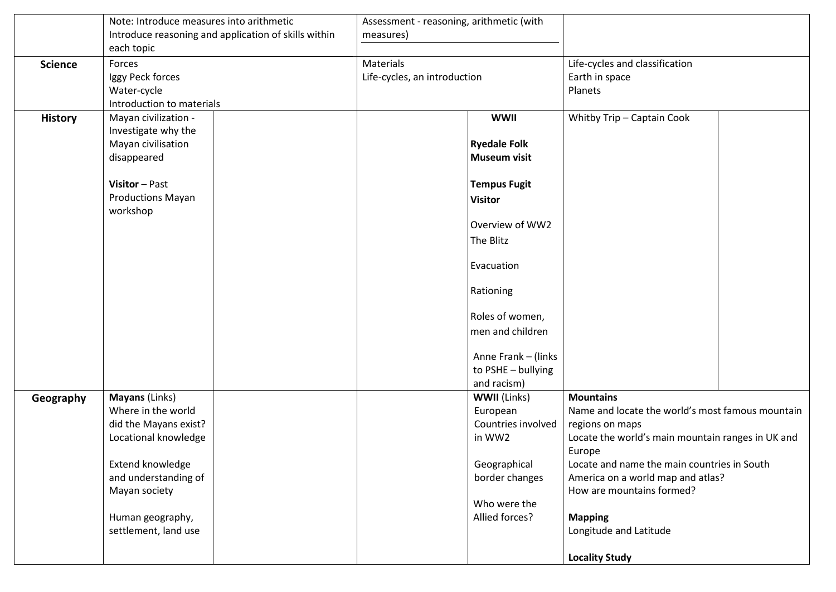|                | Note: Introduce measures into arithmetic             | Assessment - reasoning, arithmetic (with            |                     |                                                   |  |
|----------------|------------------------------------------------------|-----------------------------------------------------|---------------------|---------------------------------------------------|--|
|                | Introduce reasoning and application of skills within | measures)                                           |                     |                                                   |  |
|                | each topic                                           |                                                     |                     |                                                   |  |
| <b>Science</b> | Forces                                               | Materials                                           |                     | Life-cycles and classification                    |  |
|                | Iggy Peck forces                                     | Life-cycles, an introduction                        |                     | Earth in space                                    |  |
|                | Water-cycle                                          |                                                     |                     | Planets                                           |  |
|                | Introduction to materials                            |                                                     |                     |                                                   |  |
| <b>History</b> | Mayan civilization -                                 |                                                     | <b>WWII</b>         | Whitby Trip - Captain Cook                        |  |
|                | Investigate why the                                  |                                                     |                     |                                                   |  |
|                | Mayan civilisation                                   |                                                     | <b>Ryedale Folk</b> |                                                   |  |
|                | disappeared                                          |                                                     | <b>Museum visit</b> |                                                   |  |
|                |                                                      |                                                     |                     |                                                   |  |
|                | Visitor-Past                                         |                                                     | <b>Tempus Fugit</b> |                                                   |  |
|                | <b>Productions Mayan</b>                             |                                                     | <b>Visitor</b>      |                                                   |  |
|                | workshop                                             |                                                     |                     |                                                   |  |
|                |                                                      |                                                     | Overview of WW2     |                                                   |  |
|                |                                                      |                                                     | The Blitz           |                                                   |  |
|                |                                                      |                                                     |                     |                                                   |  |
|                |                                                      |                                                     | Evacuation          |                                                   |  |
|                |                                                      |                                                     |                     |                                                   |  |
|                |                                                      |                                                     | Rationing           |                                                   |  |
|                |                                                      |                                                     | Roles of women,     |                                                   |  |
|                |                                                      |                                                     | men and children    |                                                   |  |
|                |                                                      |                                                     | Anne Frank - (links |                                                   |  |
|                |                                                      |                                                     | to PSHE - bullying  |                                                   |  |
|                |                                                      |                                                     | and racism)         |                                                   |  |
| Geography      | Mayans (Links)                                       |                                                     | <b>WWII</b> (Links) | <b>Mountains</b>                                  |  |
|                | Where in the world                                   |                                                     | European            | Name and locate the world's most famous mountain  |  |
|                | did the Mayans exist?                                |                                                     | Countries involved  | regions on maps                                   |  |
|                | Locational knowledge                                 |                                                     | in WW2              | Locate the world's main mountain ranges in UK and |  |
|                |                                                      |                                                     |                     | Europe                                            |  |
|                | Extend knowledge                                     |                                                     | Geographical        | Locate and name the main countries in South       |  |
|                | and understanding of                                 | border changes<br>America on a world map and atlas? |                     |                                                   |  |
|                | Mayan society                                        |                                                     |                     | How are mountains formed?                         |  |
|                |                                                      |                                                     | Who were the        |                                                   |  |
|                | Human geography,                                     | Allied forces?                                      |                     | <b>Mapping</b>                                    |  |
|                | settlement, land use                                 |                                                     |                     | Longitude and Latitude                            |  |
|                |                                                      |                                                     |                     |                                                   |  |
|                |                                                      |                                                     |                     | <b>Locality Study</b>                             |  |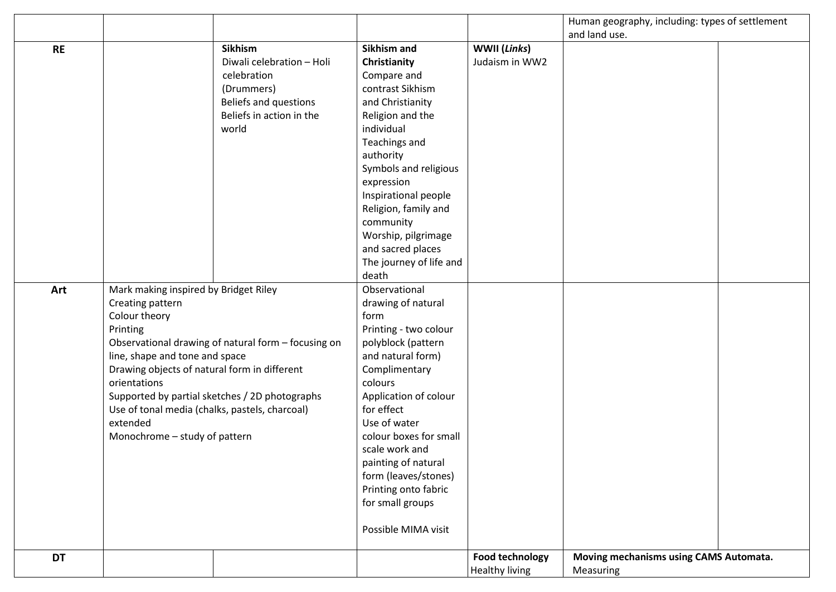|           |                                                                                                                                                                                                                                                                                                                                                                                                  |                           |                                             |                                          | Human geography, including: types of settlement     |  |
|-----------|--------------------------------------------------------------------------------------------------------------------------------------------------------------------------------------------------------------------------------------------------------------------------------------------------------------------------------------------------------------------------------------------------|---------------------------|---------------------------------------------|------------------------------------------|-----------------------------------------------------|--|
|           |                                                                                                                                                                                                                                                                                                                                                                                                  |                           |                                             |                                          | and land use.                                       |  |
| <b>RE</b> |                                                                                                                                                                                                                                                                                                                                                                                                  | <b>Sikhism</b>            | <b>Sikhism and</b>                          | WWII (Links)                             |                                                     |  |
|           |                                                                                                                                                                                                                                                                                                                                                                                                  | Diwali celebration - Holi | Christianity                                | Judaism in WW2                           |                                                     |  |
|           |                                                                                                                                                                                                                                                                                                                                                                                                  | celebration               | Compare and                                 |                                          |                                                     |  |
|           |                                                                                                                                                                                                                                                                                                                                                                                                  | (Drummers)                | contrast Sikhism                            |                                          |                                                     |  |
|           |                                                                                                                                                                                                                                                                                                                                                                                                  | Beliefs and questions     | and Christianity                            |                                          |                                                     |  |
|           |                                                                                                                                                                                                                                                                                                                                                                                                  | Beliefs in action in the  | Religion and the                            |                                          |                                                     |  |
|           |                                                                                                                                                                                                                                                                                                                                                                                                  | world                     | individual                                  |                                          |                                                     |  |
|           |                                                                                                                                                                                                                                                                                                                                                                                                  |                           | Teachings and                               |                                          |                                                     |  |
|           |                                                                                                                                                                                                                                                                                                                                                                                                  |                           | authority                                   |                                          |                                                     |  |
|           |                                                                                                                                                                                                                                                                                                                                                                                                  |                           | Symbols and religious                       |                                          |                                                     |  |
|           |                                                                                                                                                                                                                                                                                                                                                                                                  |                           | expression                                  |                                          |                                                     |  |
|           |                                                                                                                                                                                                                                                                                                                                                                                                  |                           | Inspirational people                        |                                          |                                                     |  |
|           |                                                                                                                                                                                                                                                                                                                                                                                                  |                           | Religion, family and                        |                                          |                                                     |  |
|           |                                                                                                                                                                                                                                                                                                                                                                                                  |                           | community                                   |                                          |                                                     |  |
|           |                                                                                                                                                                                                                                                                                                                                                                                                  |                           | Worship, pilgrimage                         |                                          |                                                     |  |
|           |                                                                                                                                                                                                                                                                                                                                                                                                  |                           | and sacred places                           |                                          |                                                     |  |
|           |                                                                                                                                                                                                                                                                                                                                                                                                  |                           | The journey of life and                     |                                          |                                                     |  |
|           |                                                                                                                                                                                                                                                                                                                                                                                                  |                           | death                                       |                                          |                                                     |  |
| Art       | Mark making inspired by Bridget Riley<br>Creating pattern<br>Colour theory<br>Printing<br>Observational drawing of natural form - focusing on<br>line, shape and tone and space<br>Drawing objects of natural form in different<br>orientations<br>Supported by partial sketches / 2D photographs<br>Use of tonal media (chalks, pastels, charcoal)<br>extended<br>Monochrome - study of pattern |                           | Observational                               |                                          |                                                     |  |
|           |                                                                                                                                                                                                                                                                                                                                                                                                  |                           | drawing of natural                          |                                          |                                                     |  |
|           |                                                                                                                                                                                                                                                                                                                                                                                                  |                           | form                                        |                                          |                                                     |  |
|           |                                                                                                                                                                                                                                                                                                                                                                                                  |                           | Printing - two colour<br>polyblock (pattern |                                          |                                                     |  |
|           |                                                                                                                                                                                                                                                                                                                                                                                                  |                           | and natural form)                           |                                          |                                                     |  |
|           |                                                                                                                                                                                                                                                                                                                                                                                                  |                           | Complimentary                               |                                          |                                                     |  |
|           |                                                                                                                                                                                                                                                                                                                                                                                                  |                           | colours                                     |                                          |                                                     |  |
|           |                                                                                                                                                                                                                                                                                                                                                                                                  |                           | Application of colour                       |                                          |                                                     |  |
|           |                                                                                                                                                                                                                                                                                                                                                                                                  |                           | for effect                                  |                                          |                                                     |  |
|           |                                                                                                                                                                                                                                                                                                                                                                                                  |                           | Use of water                                |                                          |                                                     |  |
|           |                                                                                                                                                                                                                                                                                                                                                                                                  |                           | colour boxes for small                      |                                          |                                                     |  |
|           |                                                                                                                                                                                                                                                                                                                                                                                                  |                           | scale work and                              |                                          |                                                     |  |
|           |                                                                                                                                                                                                                                                                                                                                                                                                  |                           | painting of natural                         |                                          |                                                     |  |
|           |                                                                                                                                                                                                                                                                                                                                                                                                  |                           | form (leaves/stones)                        |                                          |                                                     |  |
|           |                                                                                                                                                                                                                                                                                                                                                                                                  |                           | Printing onto fabric                        |                                          |                                                     |  |
|           |                                                                                                                                                                                                                                                                                                                                                                                                  |                           | for small groups                            |                                          |                                                     |  |
|           |                                                                                                                                                                                                                                                                                                                                                                                                  |                           | Possible MIMA visit                         |                                          |                                                     |  |
| <b>DT</b> |                                                                                                                                                                                                                                                                                                                                                                                                  |                           |                                             | <b>Food technology</b><br>Healthy living | Moving mechanisms using CAMS Automata.<br>Measuring |  |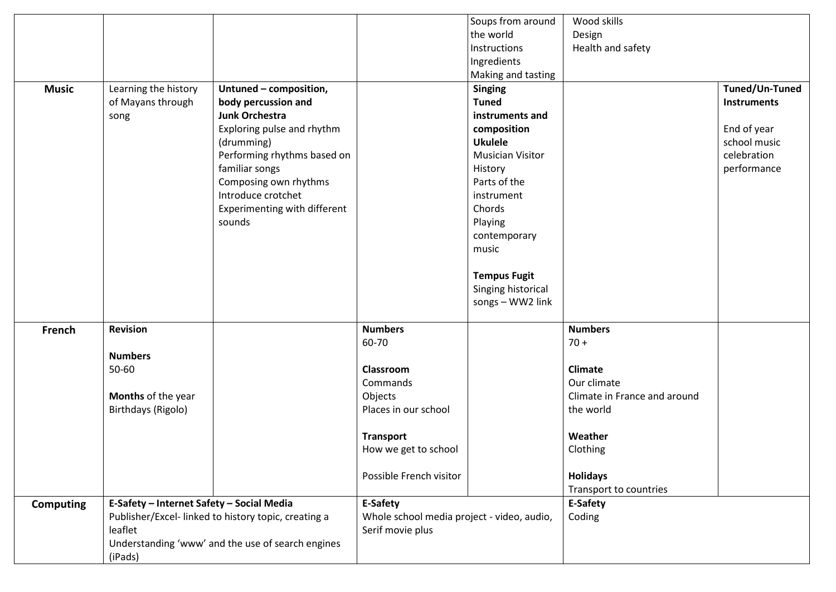|                  |                                                     |                                                   |                                            | Soups from around       | Wood skills                  |                |
|------------------|-----------------------------------------------------|---------------------------------------------------|--------------------------------------------|-------------------------|------------------------------|----------------|
|                  |                                                     |                                                   |                                            | the world               | Design                       |                |
|                  |                                                     |                                                   |                                            | Instructions            | Health and safety            |                |
|                  |                                                     |                                                   |                                            | Ingredients             |                              |                |
|                  |                                                     |                                                   |                                            | Making and tasting      |                              |                |
| <b>Music</b>     | Learning the history                                | Untuned - composition,                            |                                            | <b>Singing</b>          |                              | Tuned/Un-Tuned |
|                  | of Mayans through                                   | body percussion and                               |                                            | <b>Tuned</b>            |                              | Instruments    |
|                  | song                                                | Junk Orchestra                                    |                                            | instruments and         |                              |                |
|                  |                                                     | Exploring pulse and rhythm                        |                                            | composition             |                              | End of year    |
|                  |                                                     | (drumming)                                        |                                            | <b>Ukulele</b>          |                              | school music   |
|                  |                                                     | Performing rhythms based on                       |                                            | <b>Musician Visitor</b> |                              | celebration    |
|                  |                                                     | familiar songs                                    |                                            | History                 |                              | performance    |
|                  |                                                     | Composing own rhythms                             |                                            | Parts of the            |                              |                |
|                  |                                                     | Introduce crotchet                                |                                            | instrument              |                              |                |
|                  |                                                     | Experimenting with different                      |                                            | Chords                  |                              |                |
|                  |                                                     | sounds                                            |                                            | Playing                 |                              |                |
|                  |                                                     |                                                   |                                            | contemporary            |                              |                |
|                  |                                                     |                                                   |                                            | music                   |                              |                |
|                  |                                                     |                                                   |                                            |                         |                              |                |
|                  |                                                     |                                                   |                                            | <b>Tempus Fugit</b>     |                              |                |
|                  |                                                     |                                                   |                                            | Singing historical      |                              |                |
|                  |                                                     |                                                   |                                            | songs - WW2 link        |                              |                |
|                  |                                                     |                                                   |                                            |                         |                              |                |
| French           | <b>Revision</b>                                     |                                                   | <b>Numbers</b>                             |                         | <b>Numbers</b>               |                |
|                  |                                                     |                                                   | 60-70                                      |                         | $70 +$                       |                |
|                  | <b>Numbers</b>                                      |                                                   |                                            |                         |                              |                |
|                  | 50-60                                               |                                                   | Classroom                                  |                         | <b>Climate</b>               |                |
|                  |                                                     |                                                   | Commands                                   |                         | Our climate                  |                |
|                  | Months of the year                                  |                                                   | Objects                                    |                         | Climate in France and around |                |
|                  | Birthdays (Rigolo)                                  |                                                   | Places in our school                       |                         | the world                    |                |
|                  |                                                     |                                                   |                                            |                         |                              |                |
|                  |                                                     |                                                   | <b>Transport</b>                           |                         | Weather                      |                |
|                  |                                                     |                                                   | How we get to school                       |                         | Clothing                     |                |
|                  |                                                     |                                                   |                                            |                         |                              |                |
|                  |                                                     |                                                   | Possible French visitor                    |                         | <b>Holidays</b>              |                |
|                  |                                                     |                                                   |                                            |                         | Transport to countries       |                |
| <b>Computing</b> | E-Safety - Internet Safety - Social Media           |                                                   | E-Safety                                   |                         | E-Safety                     |                |
|                  | Publisher/Excel-linked to history topic, creating a |                                                   | Whole school media project - video, audio, |                         | Coding                       |                |
|                  | leaflet                                             |                                                   | Serif movie plus                           |                         |                              |                |
|                  |                                                     | Understanding 'www' and the use of search engines |                                            |                         |                              |                |
|                  | (iPads)                                             |                                                   |                                            |                         |                              |                |